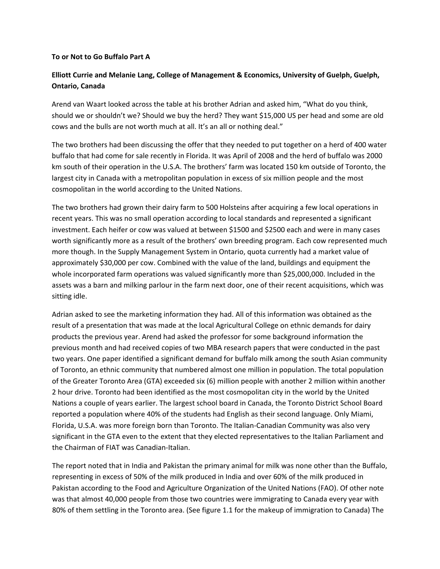#### **To or Not to Go Buffalo Part A**

### **Elliott Currie and Melanie Lang, College of Management & Economics, University of Guelph, Guelph, Ontario, Canada**

Arend van Waart looked across the table at his brother Adrian and asked him, "What do you think, should we or shouldn't we? Should we buy the herd? They want \$15,000 US per head and some are old cows and the bulls are not worth much at all. It's an all or nothing deal."

The two brothers had been discussing the offer that they needed to put together on a herd of 400 water buffalo that had come for sale recently in Florida. It was April of 2008 and the herd of buffalo was 2000 km south of their operation in the U.S.A. The brothers' farm was located 150 km outside of Toronto, the largest city in Canada with a metropolitan population in excess of six million people and the most cosmopolitan in the world according to the United Nations.

The two brothers had grown their dairy farm to 500 Holsteins after acquiring a few local operations in recent years. This was no small operation according to local standards and represented a significant investment. Each heifer or cow was valued at between \$1500 and \$2500 each and were in many cases worth significantly more as a result of the brothers' own breeding program. Each cow represented much more though. In the Supply Management System in Ontario, quota currently had a market value of approximately \$30,000 per cow. Combined with the value of the land, buildings and equipment the whole incorporated farm operations was valued significantly more than \$25,000,000. Included in the assets was a barn and milking parlour in the farm next door, one of their recent acquisitions, which was sitting idle.

Adrian asked to see the marketing information they had. All of this information was obtained as the result of a presentation that was made at the local Agricultural College on ethnic demands for dairy products the previous year. Arend had asked the professor for some background information the previous month and had received copies of two MBA research papers that were conducted in the past two years. One paper identified a significant demand for buffalo milk among the south Asian community of Toronto, an ethnic community that numbered almost one million in population. The total population of the Greater Toronto Area (GTA) exceeded six (6) million people with another 2 million within another 2 hour drive. Toronto had been identified as the most cosmopolitan city in the world by the United Nations a couple of years earlier. The largest school board in Canada, the Toronto District School Board reported a population where 40% of the students had English as their second language. Only Miami, Florida, U.S.A. was more foreign born than Toronto. The Italian‐Canadian Community was also very significant in the GTA even to the extent that they elected representatives to the Italian Parliament and the Chairman of FIAT was Canadian‐Italian.

The report noted that in India and Pakistan the primary animal for milk was none other than the Buffalo, representing in excess of 50% of the milk produced in India and over 60% of the milk produced in Pakistan according to the Food and Agriculture Organization of the United Nations (FAO). Of other note was that almost 40,000 people from those two countries were immigrating to Canada every year with 80% of them settling in the Toronto area. (See figure 1.1 for the makeup of immigration to Canada) The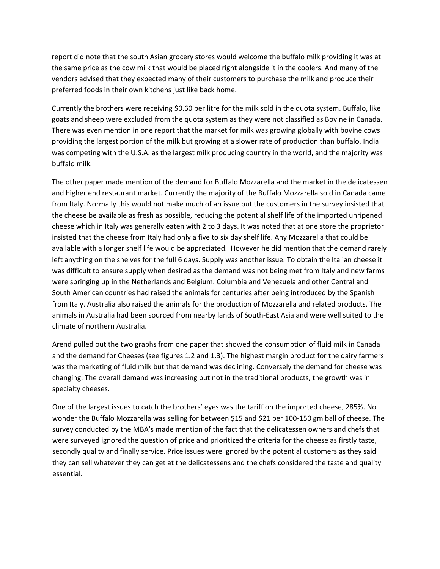report did note that the south Asian grocery stores would welcome the buffalo milk providing it was at the same price as the cow milk that would be placed right alongside it in the coolers. And many of the vendors advised that they expected many of their customers to purchase the milk and produce their preferred foods in their own kitchens just like back home.

Currently the brothers were receiving \$0.60 per litre for the milk sold in the quota system. Buffalo, like goats and sheep were excluded from the quota system as they were not classified as Bovine in Canada. There was even mention in one report that the market for milk was growing globally with bovine cows providing the largest portion of the milk but growing at a slower rate of production than buffalo. India was competing with the U.S.A. as the largest milk producing country in the world, and the majority was buffalo milk.

The other paper made mention of the demand for Buffalo Mozzarella and the market in the delicatessen and higher end restaurant market. Currently the majority of the Buffalo Mozzarella sold in Canada came from Italy. Normally this would not make much of an issue but the customers in the survey insisted that the cheese be available as fresh as possible, reducing the potential shelf life of the imported unripened cheese which in Italy was generally eaten with 2 to 3 days. It was noted that at one store the proprietor insisted that the cheese from Italy had only a five to six day shelf life. Any Mozzarella that could be available with a longer shelf life would be appreciated. However he did mention that the demand rarely left anything on the shelves for the full 6 days. Supply was another issue. To obtain the Italian cheese it was difficult to ensure supply when desired as the demand was not being met from Italy and new farms were springing up in the Netherlands and Belgium. Columbia and Venezuela and other Central and South American countries had raised the animals for centuries after being introduced by the Spanish from Italy. Australia also raised the animals for the production of Mozzarella and related products. The animals in Australia had been sourced from nearby lands of South‐East Asia and were well suited to the climate of northern Australia.

Arend pulled out the two graphs from one paper that showed the consumption of fluid milk in Canada and the demand for Cheeses (see figures 1.2 and 1.3). The highest margin product for the dairy farmers was the marketing of fluid milk but that demand was declining. Conversely the demand for cheese was changing. The overall demand was increasing but not in the traditional products, the growth was in specialty cheeses.

One of the largest issues to catch the brothers' eyes was the tariff on the imported cheese, 285%. No wonder the Buffalo Mozzarella was selling for between \$15 and \$21 per 100‐150 gm ball of cheese. The survey conducted by the MBA's made mention of the fact that the delicatessen owners and chefs that were surveyed ignored the question of price and prioritized the criteria for the cheese as firstly taste, secondly quality and finally service. Price issues were ignored by the potential customers as they said they can sell whatever they can get at the delicatessens and the chefs considered the taste and quality essential.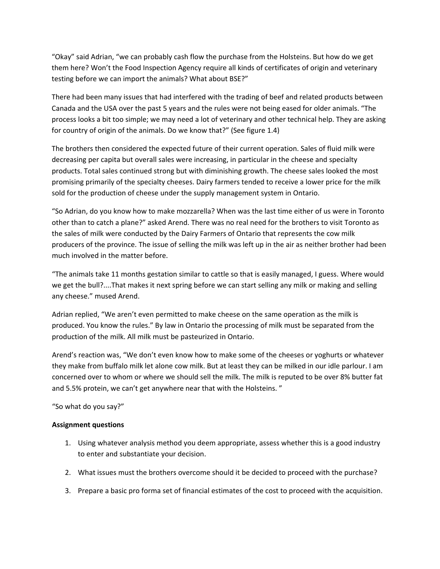"Okay" said Adrian, "we can probably cash flow the purchase from the Holsteins. But how do we get them here? Won't the Food Inspection Agency require all kinds of certificates of origin and veterinary testing before we can import the animals? What about BSE?"

There had been many issues that had interfered with the trading of beef and related products between Canada and the USA over the past 5 years and the rules were not being eased for older animals. "The process looks a bit too simple; we may need a lot of veterinary and other technical help. They are asking for country of origin of the animals. Do we know that?" (See figure 1.4)

The brothers then considered the expected future of their current operation. Sales of fluid milk were decreasing per capita but overall sales were increasing, in particular in the cheese and specialty products. Total sales continued strong but with diminishing growth. The cheese sales looked the most promising primarily of the specialty cheeses. Dairy farmers tended to receive a lower price for the milk sold for the production of cheese under the supply management system in Ontario.

"So Adrian, do you know how to make mozzarella? When was the last time either of us were in Toronto other than to catch a plane?" asked Arend. There was no real need for the brothers to visit Toronto as the sales of milk were conducted by the Dairy Farmers of Ontario that represents the cow milk producers of the province. The issue of selling the milk was left up in the air as neither brother had been much involved in the matter before.

"The animals take 11 months gestation similar to cattle so that is easily managed, I guess. Where would we get the bull?....That makes it next spring before we can start selling any milk or making and selling any cheese." mused Arend.

Adrian replied, "We aren't even permitted to make cheese on the same operation as the milk is produced. You know the rules." By law in Ontario the processing of milk must be separated from the production of the milk. All milk must be pasteurized in Ontario.

Arend's reaction was, "We don't even know how to make some of the cheeses or yoghurts or whatever they make from buffalo milk let alone cow milk. But at least they can be milked in our idle parlour. I am concerned over to whom or where we should sell the milk. The milk is reputed to be over 8% butter fat and 5.5% protein, we can't get anywhere near that with the Holsteins. "

"So what do you say?"

### **Assignment questions**

- 1. Using whatever analysis method you deem appropriate, assess whether this is a good industry to enter and substantiate your decision.
- 2. What issues must the brothers overcome should it be decided to proceed with the purchase?
- 3. Prepare a basic pro forma set of financial estimates of the cost to proceed with the acquisition.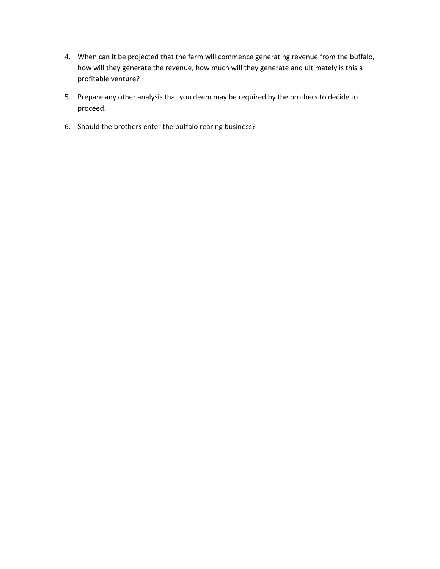- 4. When can it be projected that the farm will commence generating revenue from the buffalo, how will they generate the revenue, how much will they generate and ultimately is this a profitable venture?
- 5. Prepare any other analysis that you deem may be required by the brothers to decide to proceed.
- 6. Should the brothers enter the buffalo rearing business?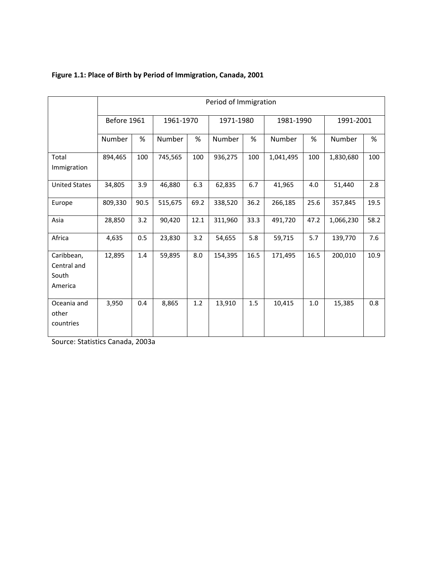|                                               | Period of Immigration |      |           |      |           |      |           |      |           |      |
|-----------------------------------------------|-----------------------|------|-----------|------|-----------|------|-----------|------|-----------|------|
|                                               | Before 1961           |      | 1961-1970 |      | 1971-1980 |      | 1981-1990 |      | 1991-2001 |      |
|                                               | Number                | %    | Number    | %    | Number    | $\%$ | Number    | %    | Number    | $\%$ |
| Total<br>Immigration                          | 894,465               | 100  | 745,565   | 100  | 936,275   | 100  | 1,041,495 | 100  | 1,830,680 | 100  |
| <b>United States</b>                          | 34,805                | 3.9  | 46,880    | 6.3  | 62,835    | 6.7  | 41,965    | 4.0  | 51,440    | 2.8  |
| Europe                                        | 809,330               | 90.5 | 515,675   | 69.2 | 338,520   | 36.2 | 266,185   | 25.6 | 357,845   | 19.5 |
| Asia                                          | 28,850                | 3.2  | 90,420    | 12.1 | 311,960   | 33.3 | 491,720   | 47.2 | 1,066,230 | 58.2 |
| Africa                                        | 4,635                 | 0.5  | 23,830    | 3.2  | 54,655    | 5.8  | 59,715    | 5.7  | 139,770   | 7.6  |
| Caribbean,<br>Central and<br>South<br>America | 12,895                | 1.4  | 59,895    | 8.0  | 154,395   | 16.5 | 171,495   | 16.5 | 200,010   | 10.9 |
| Oceania and<br>other<br>countries             | 3,950                 | 0.4  | 8,865     | 1.2  | 13,910    | 1.5  | 10,415    | 1.0  | 15,385    | 0.8  |

# **Figure 1.1: Place of Birth by Period of Immigration, Canada, 2001**

Source: Statistics Canada, 2003a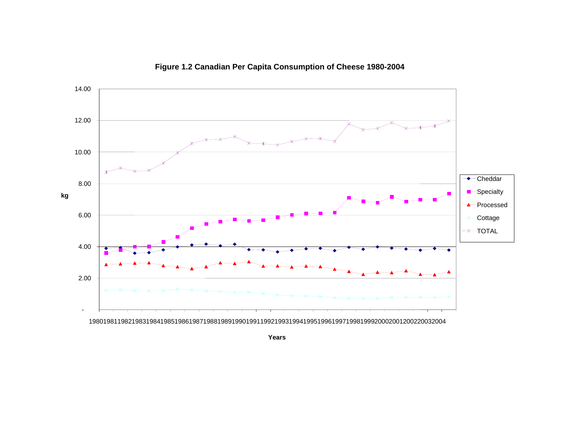

# **Figure 1.2 Canadian Per Capita Consumption of Cheese 1980-2004**

1980198119821983198419851986198719881989199019911992199319941995199619971998199920002001200220032004

**Years**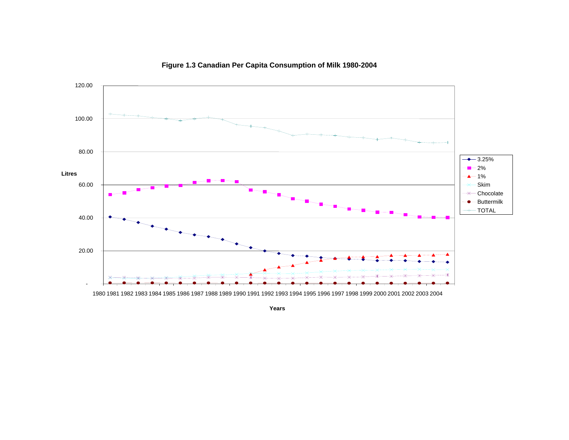

**Figure 1.3 Canadian Per Capita Consumption of Milk 1980-2004**

**Years**